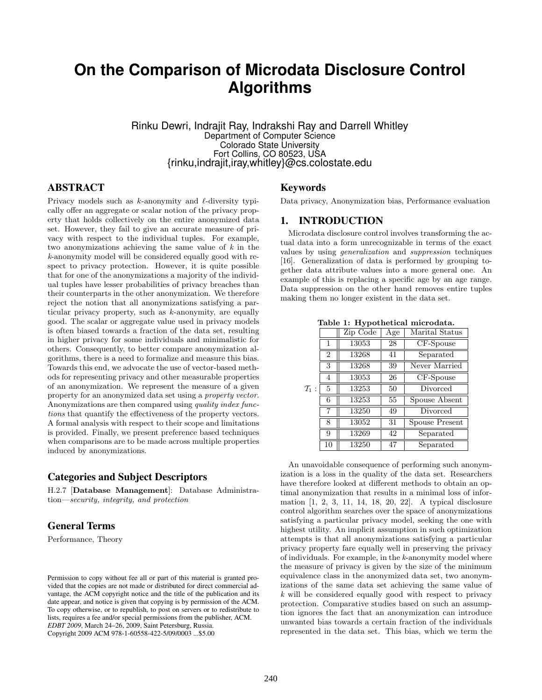# **On the Comparison of Microdata Disclosure Control Algorithms**

Rinku Dewri, Indrajit Ray, Indrakshi Ray and Darrell Whitley Department of Computer Science Colorado State University Fort Collins, CO 80523, USA {rinku,indrajit,iray,whitley}@cs.colostate.edu

## ABSTRACT

Privacy models such as  $k$ -anonymity and  $\ell$ -diversity typically offer an aggregate or scalar notion of the privacy property that holds collectively on the entire anonymized data set. However, they fail to give an accurate measure of privacy with respect to the individual tuples. For example, two anonymizations achieving the same value of  $k$  in the k-anonymity model will be considered equally good with respect to privacy protection. However, it is quite possible that for one of the anonymizations a majority of the individual tuples have lesser probabilities of privacy breaches than their counterparts in the other anonymization. We therefore reject the notion that all anonymizations satisfying a particular privacy property, such as k-anonymity, are equally good. The scalar or aggregate value used in privacy models is often biased towards a fraction of the data set, resulting in higher privacy for some individuals and minimalistic for others. Consequently, to better compare anonymization algorithms, there is a need to formalize and measure this bias. Towards this end, we advocate the use of vector-based methods for representing privacy and other measurable properties of an anonymization. We represent the measure of a given property for an anonymized data set using a property vector. Anonymizations are then compared using quality index functions that quantify the effectiveness of the property vectors. A formal analysis with respect to their scope and limitations is provided. Finally, we present preference based techniques when comparisons are to be made across multiple properties induced by anonymizations.

### Categories and Subject Descriptors

H.2.7 [Database Management]: Database Administration—security, integrity, and protection

# General Terms

Performance, Theory

Permission to copy without fee all or part of this material is granted provided that the copies are not made or distributed for direct commercial advantage, the ACM copyright notice and the title of the publication and its date appear, and notice is given that copying is by permission of the ACM. To copy otherwise, or to republish, to post on servers or to redistribute to lists, requires a fee and/or special permissions from the publisher, ACM. *EDBT 2009*, March 24–26, 2009, Saint Petersburg, Russia. Copyright 2009 ACM 978-1-60558-422-5/09/0003 ...\$5.00

## Keywords

Data privacy, Anonymization bias, Performance evaluation

## 1. INTRODUCTION

Microdata disclosure control involves transforming the actual data into a form unrecognizable in terms of the exact values by using generalization and suppression techniques [16]. Generalization of data is performed by grouping together data attribute values into a more general one. An example of this is replacing a specific age by an age range. Data suppression on the other hand removes entire tuples making them no longer existent in the data set.

Table 1: Hypothetical microdata.

|                   |                | . .      |     |                                 |  |
|-------------------|----------------|----------|-----|---------------------------------|--|
|                   |                | Zip Code | Age | Marital Status                  |  |
|                   | 1              | 13053    | 28  | CF-Spouse                       |  |
|                   | $\overline{2}$ | 13268    | 41  | Separated                       |  |
|                   | 3              | 13268    | 39  | Never Married                   |  |
|                   | 4              | 13053    | 26  | CF-Spouse                       |  |
| $\mathcal{T}_1$ : | 5              | 13253    | 50  | $\overline{\mathrm{D}}$ ivorced |  |
|                   | 6              | 13253    | 55  | Spouse Absent                   |  |
|                   | 7              | 13250    | 49  | Divorced                        |  |
|                   | 8              | 13052    | 31  | Spouse Present                  |  |
|                   | 9              | 13269    | 42  | Separated                       |  |
|                   | 10             | 13250    | 47  | Separated                       |  |

An unavoidable consequence of performing such anonymization is a loss in the quality of the data set. Researchers have therefore looked at different methods to obtain an optimal anonymization that results in a minimal loss of information [1, 2, 3, 11, 14, 18, 20, 22]. A typical disclosure control algorithm searches over the space of anonymizations satisfying a particular privacy model, seeking the one with highest utility. An implicit assumption in such optimization attempts is that all anonymizations satisfying a particular privacy property fare equally well in preserving the privacy of individuals. For example, in the k-anonymity model where the measure of privacy is given by the size of the minimum equivalence class in the anonymized data set, two anonymizations of the same data set achieving the same value of k will be considered equally good with respect to privacy protection. Comparative studies based on such an assumption ignores the fact that an anonymization can introduce unwanted bias towards a certain fraction of the individuals represented in the data set. This bias, which we term the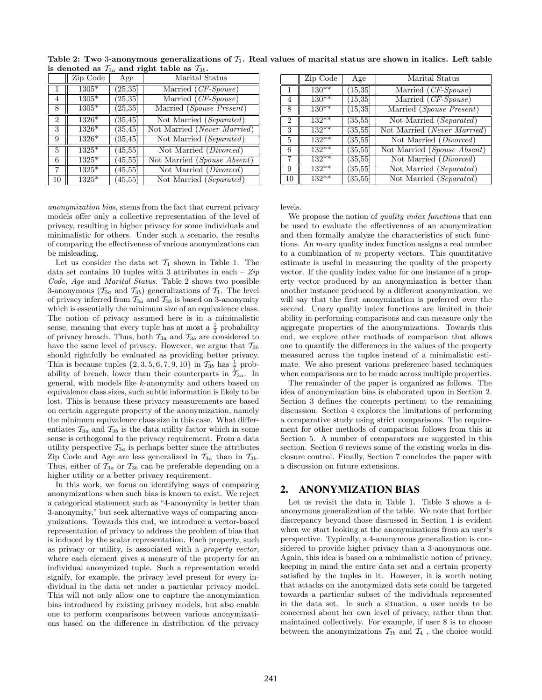|                | Zip Code | Age      | Marital Status              |
|----------------|----------|----------|-----------------------------|
| $\mathbf{1}$   | $1305*$  | (25, 35) | Married (CF-Spouse)         |
| 4              | $1305*$  | (25, 35) | Married (CF-Spouse)         |
| 8              | 1305*    | (25, 35) | Married (Spouse Present)    |
| $\overline{2}$ | $1326*$  | (35, 45) | Not Married (Separated)     |
| 3              | $1326*$  | (35, 45) | Not Married (Never Married) |
| 9              | $1326*$  | (35, 45) | Not Married (Separated)     |
| $\overline{5}$ | $1325*$  | (45, 55) | Not Married (Divorced)      |
| 6              | $1325*$  | (45, 55) | Not Married (Spouse Absent) |
| 7              | 1325*    | (45, 55) | Not Married (Divorced)      |
| 10             | $1325*$  | (45, 55) | Not Married (Separated)     |

Table 2: Two 3-anonymous generalizations of  $T_1$ . Real values of marital status are shown in italics. Left table is denoted as  $\mathcal{T}_{3a}$  and right table as  $\mathcal{T}_{3b}$ .

anonymization bias, stems from the fact that current privacy models offer only a collective representation of the level of privacy, resulting in higher privacy for some individuals and minimalistic for others. Under such a scenario, the results of comparing the effectiveness of various anonymizations can be misleading.

Let us consider the data set  $\mathcal{T}_1$  shown in Table 1. The data set contains 10 tuples with 3 attributes in each –  $Zip$ Code, Age and Marital Status. Table 2 shows two possible 3-anonymous ( $\mathcal{T}_{3a}$  and  $\mathcal{T}_{3b}$ ) generalizations of  $\mathcal{T}_1$ . The level of privacy inferred from  $\mathcal{T}_{3a}$  and  $\mathcal{T}_{3b}$  is based on 3-anonymity which is essentially the minimum size of an equivalence class. The notion of privacy assumed here is in a minimalistic sense, meaning that every tuple has at most a  $\frac{1}{3}$  probability of privacy breach. Thus, both  $\mathcal{T}_{3a}$  and  $\mathcal{T}_{3b}$  are considered to have the same level of privacy. However, we argue that  $\mathcal{T}_{3b}$ should rightfully be evaluated as providing better privacy. This is because tuples  $\{2, 3, 5, 6, 7, 9, 10\}$  in  $\mathcal{T}_{3b}$  has  $\frac{1}{7}$  probability of breach, lower than their counterparts in  $\mathcal{T}_{3a}$ . In general, with models like k-anonymity and others based on equivalence class sizes, such subtle information is likely to be lost. This is because these privacy measurements are based on certain aggregate property of the anonymization, namely the minimum equivalence class size in this case. What differentiates  $\mathcal{T}_{3a}$  and  $\mathcal{T}_{3b}$  is the data utility factor which in some sense is orthogonal to the privacy requirement. From a data utility perspective  $\mathcal{T}_{3a}$  is perhaps better since the attributes Zip Code and Age are less generalized in  $\mathcal{T}_{3a}$  than in  $\mathcal{T}_{3b}$ . Thus, either of  $\mathcal{T}_{3a}$  or  $\mathcal{T}_{3b}$  can be preferable depending on a higher utility or a better privacy requirement.

In this work, we focus on identifying ways of comparing anonymizations when such bias is known to exist. We reject a categorical statement such as "4-anonymity is better than 3-anonymity," but seek alternative ways of comparing anonymizations. Towards this end, we introduce a vector-based representation of privacy to address the problem of bias that is induced by the scalar representation. Each property, such as privacy or utility, is associated with a property vector, where each element gives a measure of the property for an individual anonymized tuple. Such a representation would signify, for example, the privacy level present for every individual in the data set under a particular privacy model. This will not only allow one to capture the anonymization bias introduced by existing privacy models, but also enable one to perform comparisons between various anonymizations based on the difference in distribution of the privacy

|                | Zip Code   | Age          | Marital Status                  |
|----------------|------------|--------------|---------------------------------|
| 1              | $130**$    | (15, 35)     | Married $(CF\text{-}Spouse)$    |
| 4              | $130**$    | (15, 35)     | Married $(CF-Spouse)$           |
| 8              | $130^{**}$ | (15, 35)     | Married (Spouse Present)        |
| $\overline{2}$ | $132**$    | (35, 55)     | Not Married (Separated)         |
| 3              | $132***$   | (35, 55)     | Not Married (Never Married)     |
| 5              | $132**$    | (35, 55)     | Not Married ( <i>Divorced</i> ) |
| 6              | $132***$   | (35, 55)     | Not Married (Spouse Absent)     |
| 7              | $132***$   | (35, 55)     | Not Married (Divorced)          |
| 9              | $132***$   | (35, 55)     | Not Married (Separated)         |
| 10             | $132**$    | $^{(35,55)}$ | Not Married (Separated)         |

levels.

We propose the notion of *quality index functions* that can be used to evaluate the effectiveness of an anonymization and then formally analyze the characteristics of such functions. An m-ary quality index function assigns a real number to a combination of  $m$  property vectors. This quantitative estimate is useful in measuring the quality of the property vector. If the quality index value for one instance of a property vector produced by an anonymization is better than another instance produced by a different anonymization, we will say that the first anonymization is preferred over the second. Unary quality index functions are limited in their ability in performing comparisons and can measure only the aggregate properties of the anonymizations. Towards this end, we explore other methods of comparison that allows one to quantify the differences in the values of the property measured across the tuples instead of a minimalistic estimate. We also present various preference based techniques when comparisons are to be made across multiple properties.

The remainder of the paper is organized as follows. The idea of anonymization bias is elaborated upon in Section 2. Section 3 defines the concepts pertinent to the remaining discussion. Section 4 explores the limitations of performing a comparative study using strict comparisons. The requirement for other methods of comparison follows from this in Section 5. A number of comparators are suggested in this section. Section 6 reviews some of the existing works in disclosure control. Finally, Section 7 concludes the paper with a discussion on future extensions.

### 2. ANONYMIZATION BIAS

Let us revisit the data in Table 1. Table 3 shows a 4 anonymous generalization of the table. We note that further discrepancy beyond those discussed in Section 1 is evident when we start looking at the anonymizations from an user's perspective. Typically, a 4-anonymous generalization is considered to provide higher privacy than a 3-anonymous one. Again, this idea is based on a minimalistic notion of privacy, keeping in mind the entire data set and a certain property satisfied by the tuples in it. However, it is worth noting that attacks on the anonymized data sets could be targeted towards a particular subset of the individuals represented in the data set. In such a situation, a user needs to be concerned about her own level of privacy, rather than that maintained collectively. For example, if user 8 is to choose between the anonymizations  $\mathcal{T}_{3b}$  and  $\mathcal{T}_{4}$ , the choice would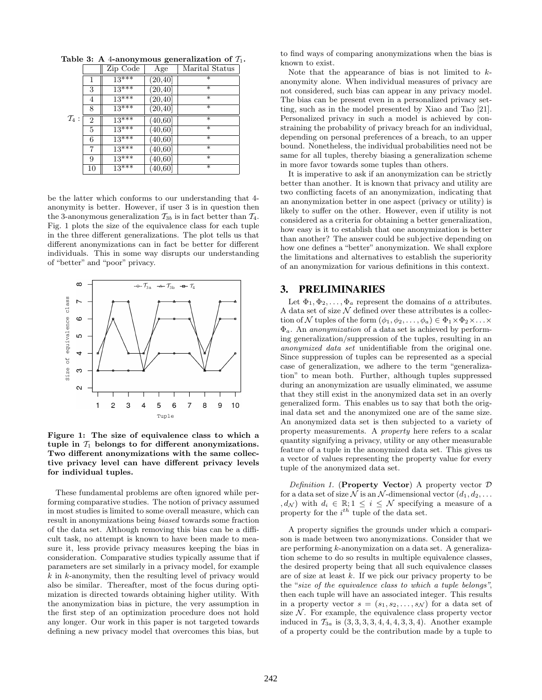|                   |                | Zip Code | Age         | Marital Status    |
|-------------------|----------------|----------|-------------|-------------------|
|                   | 1              | $13***$  | (20, 40]    | $\ast$            |
|                   | 3              | $13***$  | [20, 40]    | $\ast$            |
|                   | 4              | $13***$  | (20, 40]    | $\overline{\ast}$ |
|                   | 8              | $13***$  | (20, 40]    | $\ast$            |
| $\mathcal{T}_4$ : | $\overline{2}$ | $13***$  | (40, 60]    | $\ast$            |
|                   | 5              | $13***$  | (40, 60]    | $\ast$            |
|                   | 6              | $13***$  | (40, 60]    | $\ast$            |
|                   | 7              | $13***$  | (40, 60]    | $\ast$            |
|                   | 9              | $13***$  | (40, 60]    | *                 |
|                   | 10             | $13***$  | $[40,\!60]$ | $\ast$            |

Table 3: A 4-anonymous generalization of  $\mathcal{T}_1$ .

be the latter which conforms to our understanding that 4 anonymity is better. However, if user 3 is in question then the 3-anonymous generalization  $\mathcal{T}_{3b}$  is in fact better than  $\mathcal{T}_4$ . Fig. 1 plots the size of the equivalence class for each tuple in the three different generalizations. The plot tells us that different anonymizations can in fact be better for different individuals. This in some way disrupts our understanding of "better" and "poor" privacy.



Figure 1: The size of equivalence class to which a tuple in  $T_1$  belongs to for different anonymizations. Two different anonymizations with the same collective privacy level can have different privacy levels for individual tuples.

These fundamental problems are often ignored while performing comparative studies. The notion of privacy assumed in most studies is limited to some overall measure, which can result in anonymizations being biased towards some fraction of the data set. Although removing this bias can be a difficult task, no attempt is known to have been made to measure it, less provide privacy measures keeping the bias in consideration. Comparative studies typically assume that if parameters are set similarly in a privacy model, for example k in k-anonymity, then the resulting level of privacy would also be similar. Thereafter, most of the focus during optimization is directed towards obtaining higher utility. With the anonymization bias in picture, the very assumption in the first step of an optimization procedure does not hold any longer. Our work in this paper is not targeted towards defining a new privacy model that overcomes this bias, but to find ways of comparing anonymizations when the bias is known to exist.

Note that the appearance of bias is not limited to  $k$ anonymity alone. When individual measures of privacy are not considered, such bias can appear in any privacy model. The bias can be present even in a personalized privacy setting, such as in the model presented by Xiao and Tao [21]. Personalized privacy in such a model is achieved by constraining the probability of privacy breach for an individual, depending on personal preferences of a breach, to an upper bound. Nonetheless, the individual probabilities need not be same for all tuples, thereby biasing a generalization scheme in more favor towards some tuples than others.

It is imperative to ask if an anonymization can be strictly better than another. It is known that privacy and utility are two conflicting facets of an anonymization, indicating that an anonymization better in one aspect (privacy or utility) is likely to suffer on the other. However, even if utility is not considered as a criteria for obtaining a better generalization, how easy is it to establish that one anonymization is better than another? The answer could be subjective depending on how one defines a "better" anonymization. We shall explore the limitations and alternatives to establish the superiority of an anonymization for various definitions in this context.

#### 3. PRELIMINARIES

Let  $\Phi_1, \Phi_2, \ldots, \Phi_a$  represent the domains of a attributes. A data set of size  $\mathcal N$  defined over these attributes is a collection of N tuples of the form  $(\phi_1, \phi_2, \ldots, \phi_a) \in \Phi_1 \times \Phi_2 \times \ldots \times$  $\Phi_a$ . An *anonymization* of a data set is achieved by performing generalization/suppression of the tuples, resulting in an anonymized data set unidentifiable from the original one. Since suppression of tuples can be represented as a special case of generalization, we adhere to the term "generalization" to mean both. Further, although tuples suppressed during an anonymization are usually eliminated, we assume that they still exist in the anonymized data set in an overly generalized form. This enables us to say that both the original data set and the anonymized one are of the same size. An anonymized data set is then subjected to a variety of property measurements. A property here refers to a scalar quantity signifying a privacy, utility or any other measurable feature of a tuple in the anonymized data set. This gives us a vector of values representing the property value for every tuple of the anonymized data set.

Definition 1. (Property Vector) A property vector  $D$ for a data set of size N is an N-dimensional vector  $(d_1, d_2, \ldots)$ ,  $d_{\mathcal{N}}$ ) with  $d_i \in \mathbb{R}$ ;  $1 \leq i \leq \mathcal{N}$  specifying a measure of a property for the  $i^{th}$  tuple of the data set.

A property signifies the grounds under which a comparison is made between two anonymizations. Consider that we are performing k-anonymization on a data set. A generalization scheme to do so results in multiple equivalence classes, the desired property being that all such equivalence classes are of size at least  $k$ . If we pick our privacy property to be the "size of the equivalence class to which a tuple belongs", then each tuple will have an associated integer. This results in a property vector  $s = (s_1, s_2, \ldots, s_{\mathcal{N}})$  for a data set of size  $N$ . For example, the equivalence class property vector induced in  $\mathcal{T}_{3a}$  is  $(3, 3, 3, 3, 4, 4, 4, 3, 3, 4)$ . Another example of a property could be the contribution made by a tuple to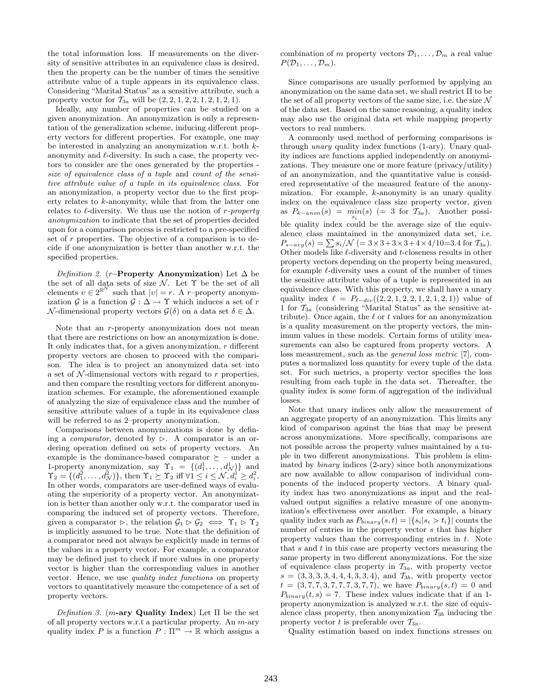the total information loss. If measurements on the diversity of sensitive attributes in an equivalence class is desired, then the property can be the number of times the sensitive attribute value of a tuple appears in its equivalence class. Considering "Marital Status" as a sensitive attribute, such a property vector for  $\mathcal{T}_{3a}$  will be  $(2, 2, 1, 2, 2, 1, 2, 1, 2, 1)$ .

Ideally, any number of properties can be studied on a given anonymization. An anonymization is only a representation of the generalization scheme, inducing different property vectors for different properties. For example, one may be interested in analyzing an anonymization w.r.t. both kanonymity and  $\ell$ -diversity. In such a case, the property vectors to consider are the ones generated by the properties size of equivalence class of a tuple and count of the sensitive attribute value of a tuple in its equivalence class. For an anonymization, a property vector due to the first property relates to k-anonymity, while that from the latter one relates to  $\ell$ -diversity. We thus use the notion of r-property anonymization to indicate that the set of properties decided upon for a comparison process is restricted to a pre-specified set of  $r$  properties. The objective of a comparison is to decide if one anonymization is better than another w.r.t. the specified properties.

Definition 2. (r–Property Anonymization) Let  $\Delta$  be the set of all data sets of size  $N$ . Let  $\Upsilon$  be the set of all elements  $v \in 2^{\mathbb{R}^N}$  such that  $|v| = r$ . A r-property anonymization  $\mathcal G$  is a function  $\mathcal G : \Delta \to \Upsilon$  which induces a set of r N-dimensional property vectors  $\mathcal{G}(\delta)$  on a data set  $\delta \in \Delta$ .

Note that an *r*-property anonymization does not mean that there are restrictions on how an anonymization is done. It only indicates that, for a given anonymization,  $r$  different property vectors are chosen to proceed with the comparison. The idea is to project an anonymized data set into a set of  $N$ -dimensional vectors with regard to  $r$  properties, and then compare the resulting vectors for different anonymization schemes. For example, the aforementioned example of analyzing the size of equivalence class and the number of sensitive attribute values of a tuple in its equivalence class will be referred to as 2–property anonymization.

Comparisons between anonymizations is done by defining a *comparator*, denoted by  $\triangleright$ . A comparator is an ordering operation defined on sets of property vectors. An example is the dominance-based comparator  $\succeq$  - under a 1-property anonymization, say  $\Upsilon_1 = \{(d_1^1, \ldots, d_N^1)\}\$ and  $\Upsilon_2 = \{ (d_1^2, \ldots, d_N^2) \}, \text{ then } \Upsilon_1 \succeq \Upsilon_2 \text{ iff } \forall 1 \leq i \leq \mathcal{N}, d_i^1 \geq d_i^2.$ In other words, comparators are user-defined ways of evaluating the superiority of a property vector. An anonymization is better than another only w.r.t. the comparator used in comparing the induced set of property vectors. Therefore, given a comparator  $\triangleright$ , the relation  $\mathcal{G}_1 \triangleright \mathcal{G}_2 \iff \Upsilon_1 \triangleright \Upsilon_2$ is implicitly assumed to be true. Note that the definition of a comparator need not always be explicitly made in terms of the values in a property vector. For example, a comparator may be defined just to check if more values in one property vector is higher than the corresponding values in another vector. Hence, we use quality index functions on property vectors to quantitatively measure the competence of a set of property vectors.

Definition 3. (m-ary Quality Index) Let  $\Pi$  be the set of all property vectors w.r.t a particular property. An m-ary quality index P is a function  $P : \Pi^m \to \mathbb{R}$  which assigns a combination of m property vectors  $\mathcal{D}_1, \ldots, \mathcal{D}_m$  a real value  $P(\mathcal{D}_1, \ldots, \mathcal{D}_m)$ .

Since comparisons are usually performed by applying an anonymization on the same data set, we shall restrict Π to be the set of all property vectors of the same size, i.e. the size  $\mathcal N$ of the data set. Based on the same reasoning, a quality index may also use the original data set while mapping property vectors to real numbers.

A commonly used method of performing comparisons is through unary quality index functions (1-ary). Unary quality indices are functions applied independently on anonymizations. They measure one or more feature (privacy/utility) of an anonymization, and the quantitative value is considered representative of the measured feature of the anonymization. For example, k-anonymity is an unary quality index on the equivalence class size property vector, given as  $P_{k-anon}(s) = min(s) (= 3$  for  $\mathcal{T}_{3a})$ . Another possible quality index could be the average size of the equivalence class maintained in the anonymized data set, i.e.  $P_{s-avg}(s) = \sum s_i / \mathcal{N}$  (= 3×3+3×3+4×4/10=3.4 for  $\mathcal{T}_{3a}$ ). Other models like  $\ell$ -diversity and  $t$ -closeness results in other property vectors depending on the property being measured, for example  $\ell$ -diversity uses a count of the number of times the sensitive attribute value of a tuple is represented in an equivalence class. With this property, we shall have a unary quality index  $\ell = P_{\ell-div}((2, 2, 1, 2, 2, 1, 2, 1, 2, 1))$  value of 1 for  $\mathcal{T}_{3a}$  (considering "Marital Status" as the sensitive attribute). Once again, the  $\ell$  or  $t$  values for an anonymization is a quality measurement on the property vectors, the minimum values in these models. Certain forms of utility measurements can also be captured from property vectors. A loss measurement, such as the general loss metric [7], computes a normalized loss quantity for every tuple of the data set. For such metrics, a property vector specifies the loss resulting from each tuple in the data set. Thereafter, the quality index is some form of aggregation of the individual losses.

Note that unary indices only allow the measurement of an aggregate property of an anonymization. This limits any kind of comparison against the bias that may be present across anonymizations. More specifically, comparisons are not possible across the property values maintained by a tuple in two different anonymizations. This problem is eliminated by binary indices (2-ary) since both anonymizations are now available to allow comparison of individual components of the induced property vectors. A binary quality index has two anonymizations as input and the realvalued output signifies a relative measure of one anonymization's effectiveness over another. For example, a binary quality index such as  $P_{binary}(s, t) = |\{s_i | s_i > t_i\}|$  counts the number of entries in the property vector s that has higher property values than the corresponding entries in  $t$ . Note that  $s$  and  $t$  in this case are property vectors measuring the same property in two different anonymizations. For the size of equivalence class property in  $\mathcal{T}_{3a}$ , with property vector  $s = (3, 3, 3, 3, 4, 4, 4, 3, 3, 4)$ , and  $\mathcal{T}_{3b}$ , with property vector  $t = (3, 7, 7, 3, 7, 7, 7, 3, 7, 7)$ , we have  $P_{binary}(s, t) = 0$  and  $P_{binary}(t, s) = 7$ . These index values indicate that if an 1property anonymization is analyzed w.r.t. the size of equivalence class property, then anonymization  $\mathcal{T}_{3b}$  inducing the property vector t is preferable over  $\mathcal{T}_{3a}$ .

Quality estimation based on index functions stresses on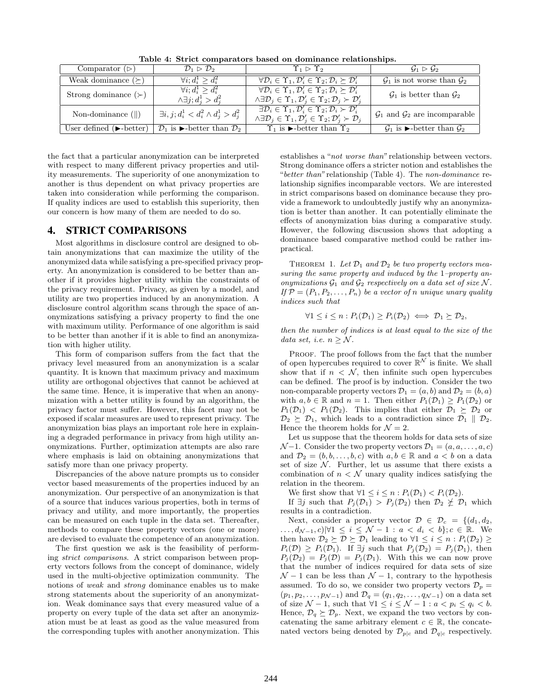| Comparator $(\triangleright)$                | $\mathcal{D}_1 \triangleright \mathcal{D}_2$                          | $\Upsilon_1 \triangleright \Upsilon_2$                                                                                                                                                                                          | $\mathcal{G}_1 \triangleright \mathcal{G}_2$                          |
|----------------------------------------------|-----------------------------------------------------------------------|---------------------------------------------------------------------------------------------------------------------------------------------------------------------------------------------------------------------------------|-----------------------------------------------------------------------|
| Weak dominance $(\succeq)$                   | $\forall i: d_i^1 \geq d_i^2$                                         | $\forall \mathcal{D}_i \in \Upsilon_1, \mathcal{D}'_i \in \Upsilon_2; \mathcal{D}_i \succeq \mathcal{D}'_i$                                                                                                                     | $\mathcal{G}_1$ is not worse than $\mathcal{G}_2$                     |
| Strong dominance $(\succ)$                   | $\forall i; d_i^1 > d_i^2$<br>$\wedge \exists j$ ; $d_i^1 > d_i^2$    | $\forall \mathcal{D}_i \in \Upsilon_1, \mathcal{D}'_i \in \Upsilon_2; \mathcal{D}_i \succeq \mathcal{D}'_i$<br>$\wedge \exists \mathcal{D}_j \in \Upsilon_1, \mathcal{D}'_j \in \Upsilon_2; \mathcal{D}_j \succ \mathcal{D}'_j$ | $\mathcal{G}_1$ is better than $\mathcal{G}_2$                        |
| Non-dominance $(  )$                         | $\exists i, j; d_i^1 < d_i^2 \wedge d_i^1 > d_i^2$                    | $\exists \mathcal{D}_i \in \Upsilon_1, \mathcal{D}'_i \in \Upsilon_2; \mathcal{D}_i \succ \mathcal{D}'_i$<br>$\wedge \exists \mathcal{D}_j \in \Upsilon_1, \mathcal{D}'_j \in \Upsilon_2; \mathcal{D}'_j \succ \mathcal{D}_j$   | $\mathcal{G}_1$ and $\mathcal{G}_2$ are incomparable                  |
| User defined $(\blacktriangleright$ -better) | $\mathcal{D}_1$ is $\blacktriangleright$ -better than $\mathcal{D}_2$ | $\Upsilon_1$ is $\blacktriangleright$ -better than $\Upsilon_2$                                                                                                                                                                 | $\mathcal{G}_1$ is $\blacktriangleright$ -better than $\mathcal{G}_2$ |

Table 4: Strict comparators based on dominance relationships.

the fact that a particular anonymization can be interpreted with respect to many different privacy properties and utility measurements. The superiority of one anonymization to another is thus dependent on what privacy properties are taken into consideration while performing the comparison. If quality indices are used to establish this superiority, then our concern is how many of them are needed to do so.

## 4. STRICT COMPARISONS

Most algorithms in disclosure control are designed to obtain anonymizations that can maximize the utility of the anonymized data while satisfying a pre-specified privacy property. An anonymization is considered to be better than another if it provides higher utility within the constraints of the privacy requirement. Privacy, as given by a model, and utility are two properties induced by an anonymization. A disclosure control algorithm scans through the space of anonymizations satisfying a privacy property to find the one with maximum utility. Performance of one algorithm is said to be better than another if it is able to find an anonymization with higher utility.

This form of comparison suffers from the fact that the privacy level measured from an anonymization is a scalar quantity. It is known that maximum privacy and maximum utility are orthogonal objectives that cannot be achieved at the same time. Hence, it is imperative that when an anonymization with a better utility is found by an algorithm, the privacy factor must suffer. However, this facet may not be exposed if scalar measures are used to represent privacy. The anonymization bias plays an important role here in explaining a degraded performance in privacy from high utility anonymizations. Further, optimization attempts are also rare where emphasis is laid on obtaining anonymizations that satisfy more than one privacy property.

Discrepancies of the above nature prompts us to consider vector based measurements of the properties induced by an anonymization. Our perspective of an anonymization is that of a source that induces various properties, both in terms of privacy and utility, and more importantly, the properties can be measured on each tuple in the data set. Thereafter, methods to compare these property vectors (one or more) are devised to evaluate the competence of an anonymization.

The first question we ask is the feasibility of performing strict comparisons. A strict comparison between property vectors follows from the concept of dominance, widely used in the multi-objective optimization community. The notions of weak and strong dominance enables us to make strong statements about the superiority of an anonymization. Weak dominance says that every measured value of a property on every tuple of the data set after an anonymization must be at least as good as the value measured from the corresponding tuples with another anonymization. This establishes a "not worse than" relationship between vectors. Strong dominance offers a stricter notion and establishes the "better than" relationship (Table 4). The non-dominance relationship signifies incomparable vectors. We are interested in strict comparisons based on dominance because they provide a framework to undoubtedly justify why an anonymization is better than another. It can potentially eliminate the effects of anonymization bias during a comparative study. However, the following discussion shows that adopting a dominance based comparative method could be rather impractical.

THEOREM 1. Let  $\mathcal{D}_1$  and  $\mathcal{D}_2$  be two property vectors measuring the same property and induced by the 1–property anonymizations  $\mathcal{G}_1$  and  $\mathcal{G}_2$  respectively on a data set of size N. If  $\mathcal{P} = (P_1, P_2, \ldots, P_n)$  be a vector of n unique unary quality indices such that

$$
\forall 1 \leq i \leq n : P_i(\mathcal{D}_1) \geq P_i(\mathcal{D}_2) \iff \mathcal{D}_1 \succeq \mathcal{D}_2,
$$

then the number of indices is at least equal to the size of the data set, i.e.  $n \geq \mathcal{N}$ .

PROOF. The proof follows from the fact that the number of open hypercubes required to cover  $\mathbb{R}^N$  is finite. We shall show that if  $n < N$ , then infinite such open hypercubes can be defined. The proof is by induction. Consider the two non-comparable property vectors  $\mathcal{D}_1 = (a, b)$  and  $\mathcal{D}_2 = (b, a)$ with  $a, b \in \mathbb{R}$  and  $n = 1$ . Then either  $P_1(\mathcal{D}_1) \geq P_1(\mathcal{D}_2)$  or  $P_1(\mathcal{D}_1) < P_1(\mathcal{D}_2)$ . This implies that either  $\mathcal{D}_1 \succeq \mathcal{D}_2$  or  $\mathcal{D}_2 \succeq \mathcal{D}_1$ , which leads to a contradiction since  $\mathcal{D}_1 \parallel \mathcal{D}_2$ . Hence the theorem holds for  $\mathcal{N} = 2$ .

Let us suppose that the theorem holds for data sets of size  $\mathcal{N}-1$ . Consider the two property vectors  $\mathcal{D}_1 = (a, a, \dots, a, c)$ and  $\mathcal{D}_2 = (b, b, \ldots, b, c)$  with  $a, b \in \mathbb{R}$  and  $a < b$  on a data set of size  $N$ . Further, let us assume that there exists a combination of  $n < N$  unary quality indices satisfying the relation in the theorem.

We first show that  $\forall 1 \leq i \leq n : P_i(\mathcal{D}_1) < P_i(\mathcal{D}_2)$ .

If  $\exists j$  such that  $P_j(\mathcal{D}_1) > P_j(\mathcal{D}_2)$  then  $\mathcal{D}_2 \not\leq \mathcal{D}_1$  which results in a contradiction.

Next, consider a property vector  $\mathcal{D} \in \mathcal{D}_c = \{(d_1, d_2,$ ...,  $d_{\mathcal{N}-1}, c$ |∀1 ≤  $i \leq \mathcal{N}-1$  :  $a < d_i < b$ };  $c \in \mathbb{R}$ . We then have  $\mathcal{D}_2 \succeq \mathcal{D} \succeq \mathcal{D}_1$  leading to  $\forall 1 \leq i \leq n : P_i(\mathcal{D}_2) \geq$  $P_i(\mathcal{D}) \geq P_i(\mathcal{D}_1)$ . If  $\exists j$  such that  $P_j(\mathcal{D}_2) = P_j(\mathcal{D}_1)$ , then  $P_i(\mathcal{D}_2) = P_i(\mathcal{D}) = P_i(\mathcal{D}_1)$ . With this we can now prove that the number of indices required for data sets of size  $\mathcal{N}$  − 1 can be less than  $\mathcal{N}$  − 1, contrary to the hypothesis assumed. To do so, we consider two property vectors  $\mathcal{D}_p =$  $(p_1, p_2, \ldots, p_{N-1})$  and  $\mathcal{D}_q = (q_1, q_2, \ldots, q_{N-1})$  on a data set of size  $\mathcal{N} - 1$ , such that  $\forall 1 \leq i \leq \mathcal{N} - 1 : a < p_i \leq q_i < b$ . Hence,  $\mathcal{D}_q \succeq \mathcal{D}_p$ . Next, we expand the two vectors by concatenating the same arbitrary element  $c \in \mathbb{R}$ , the concatenated vectors being denoted by  $\mathcal{D}_{p|c}$  and  $\mathcal{D}_{q|c}$  respectively.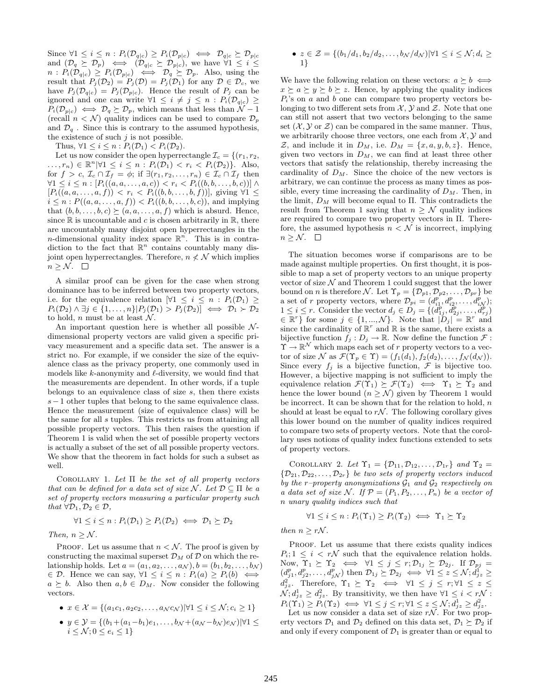Since  $\forall 1 \leq i \leq n : P_i(\mathcal{D}_{q|c}) \geq P_i(\mathcal{D}_{p|c}) \iff \mathcal{D}_{q|c} \succeq \mathcal{D}_{p|c}$ and  $(\mathcal{D}_q \succeq \mathcal{D}_p) \iff (\mathcal{D}_{q|c} \succeq \mathcal{D}_{p|c})$ , we have  $\forall 1 \leq i \leq$  $n: P_i(\mathcal{D}_{q|c}) \geq P_i(\mathcal{D}_{p|c}) \iff \mathcal{D}_q \succeq \mathcal{D}_p$ . Also, using the result that  $P_j(\mathcal{D}_2) = P_j(\mathcal{D}) = P_j(\mathcal{D}_1)$  for any  $\mathcal{D} \in \mathcal{D}_c$ , we have  $P_j(\mathcal{D}_{q|c}) = P_j(\mathcal{D}_{p|c})$ . Hence the result of  $P_j$  can be ignored and one can write  $\forall 1 \leq i \neq j \leq n : P_i(\mathcal{D}_{q|c}) \geq$  $P_i(\mathcal{D}_{p|c}) \iff \mathcal{D}_q \succeq \mathcal{D}_p$ , which means that less than  $\mathcal{N}-1$ (recall  $n < N$ ) quality indices can be used to compare  $\mathcal{D}_p$ and  $\mathcal{D}_{q}$ . Since this is contrary to the assumed hypothesis, the existence of such  $j$  is not possible.

Thus,  $\forall 1 \leq i \leq n : P_i(\mathcal{D}_1) < P_i(\mathcal{D}_2)$ .

Let us now consider the open hyperrectangle  $\mathcal{I}_c = \{(r_1, r_2,$  $\dots, r_n) \in \mathbb{R}^n \, \forall 1 \leq i \leq n : P_i(\mathcal{D}_1) < r_i < P_i(\mathcal{D}_2) \}.$  Also, for  $f > c$ ,  $\mathcal{I}_c \cap \mathcal{I}_f = \phi$ ; if  $\exists (r_1, r_2, \ldots, r_n) \in \mathcal{I}_c \cap \mathcal{I}_f$  then  $\forall 1 \le i \le n : [P_i((a, a, \ldots, a, c)) < r_i < P_i((b, b, \ldots, b, c))] \land$  $[P_i((a, a, \ldots, a, f)) < r_i < P_i((b, b, \ldots, b, f))],$  giving  $\forall 1 \leq$  $i \leq n : P((a, a, \ldots, a, f)) < P_i((b, b, \ldots, b, c))$ , and implying that  $(b, b, \ldots, b, c) \succeq (a, a, \ldots, a, f)$  which is absurd. Hence, since  $\mathbb R$  is uncountable and c is chosen arbitrarily in  $\mathbb R$ , there are uncountably many disjoint open hyperrectangles in the *n*-dimensional quality index space  $\mathbb{R}^n$ . This is in contradiction to the fact that  $\mathbb{R}^n$  contains countably many disjoint open hyperrectangles. Therefore,  $n \nless \mathcal{N}$  which implies  $n \geq \mathcal{N}$ .  $\Box$ 

A similar proof can be given for the case when strong dominance has to be inferred between two property vectors, i.e. for the equivalence relation  $[\forall 1 \leq i \leq n : P_i(\mathcal{D}_1) \geq$  $P_i(\mathcal{D}_2) \wedge \exists j \in \{1, \ldots, n\} | P_j(\mathcal{D}_1) > P_j(\mathcal{D}_2) | \iff \mathcal{D}_1 \succ \mathcal{D}_2$ to hold, n must be at least  $\mathcal N$ .

An important question here is whether all possible  $\mathcal{N}$ dimensional property vectors are valid given a specific privacy measurement and a specific data set. The answer is a strict no. For example, if we consider the size of the equivalence class as the privacy property, one commonly used in models like  $k$ -anonymity and  $\ell$ -diversity, we would find that the measurements are dependent. In other words, if a tuple belongs to an equivalence class of size s, then there exists  $s-1$  other tuples that belong to the same equivalence class. Hence the measurement (size of equivalence class) will be the same for all s tuples. This restricts us from attaining all possible property vectors. This then raises the question if Theorem 1 is valid when the set of possible property vectors is actually a subset of the set of all possible property vectors. We show that the theorem in fact holds for such a subset as well.

COROLLARY 1. Let  $\Pi$  be the set of all property vectors that can be defined for a data set of size N. Let  $\mathcal{D} \subseteq \Pi$  be a set of property vectors measuring a particular property such that  $\forall \mathcal{D}_1, \mathcal{D}_2 \in \mathcal{D}$ ,

$$
\forall 1 \leq i \leq n : P_i(\mathcal{D}_1) \geq P_i(\mathcal{D}_2) \iff \mathcal{D}_1 \succeq \mathcal{D}_2
$$

Then,  $n \geq \mathcal{N}$ .

 $i \leq \mathcal{N}; 0 \leq e_i \leq 1$ 

PROOF. Let us assume that  $n < N$ . The proof is given by constructing the maximal superset  $\mathcal{D}_M$  of  $\mathcal D$  on which the relationship holds. Let  $a = (a_1, a_2, \ldots, a_\mathcal{N}), b = (b_1, b_2, \ldots, b_\mathcal{N})$  $\in \mathcal{D}$ . Hence we can say,  $\forall 1 \leq i \leq n : P_i(a) \geq P_i(b) \iff$  $a \succeq b$ . Also then  $a, b \in D_M$ . Now consider the following vectors.

• 
$$
x \in \mathcal{X} = \{(a_1c_1, a_2c_2, ..., a_Nc_N) | \forall 1 \le i \le \mathcal{N}; c_i \ge 1\}
$$
  
\n•  $y \in \mathcal{Y} = \{(b_1 + (a_1 - b_1)e_1, ..., b_N + (a_N - b_N)e_N) | \forall 1 \le i \le N\}$ 

• 
$$
z \in \mathcal{Z} = \{(b_1/d_1, b_2/d_2, \ldots, b_\mathcal{N}/d_\mathcal{N}) | \forall 1 \leq i \leq \mathcal{N}; d_i \geq 1\}
$$

We have the following relation on these vectors:  $a \succeq b \iff$  $x \succeq a \succeq y \succeq b \succeq z$ . Hence, by applying the quality indices  $P_i$ 's on a and b one can compare two property vectors belonging to two different sets from  $\mathcal{X}, \mathcal{Y}$  and  $\mathcal{Z}$ . Note that one can still not assert that two vectors belonging to the same set  $(\mathcal{X}, \mathcal{Y})$  or  $\mathcal{Z}$  can be compared in the same manner. Thus, we arbitrarily choose three vectors, one each from  $X, Y$  and  $\mathcal{Z}$ , and include it in  $D_M$ , i.e.  $D_M = \{x, a, y, b, z\}$ . Hence, given two vectors in  $D_M$ , we can find at least three other vectors that satisfy the relationship, thereby increasing the cardinality of  $D_M$ . Since the choice of the new vectors is arbitrary, we can continue the process as many times as possible, every time increasing the cardinality of  $D_M$ . Then, in the limit,  $D_M$  will become equal to  $\Pi$ . This contradicts the result from Theorem 1 saying that  $n \geq \mathcal{N}$  quality indices are required to compare two property vectors in Π. Therefore, the assumed hypothesis  $n < N$  is incorrect, implying  $n \geq \mathcal{N}.$   $\qed$ 

The situation becomes worse if comparisons are to be made against multiple properties. On first thought, it is possible to map a set of property vectors to an unique property vector of size  $N$  and Theorem 1 could suggest that the lower bound on n is therefore  $\mathcal{N}$ . Let  $\Upsilon_p = {\mathcal{D}_{p1}, \mathcal{D}_{p2}, \ldots, \mathcal{D}_{pr}}$  be a set of r property vectors, where  $\mathcal{D}_{pi} = (d_{i1}^p, d_{i2}^p, \ldots, d_{iN}^p);$  $1 \leq i \leq r$ . Consider the vector  $d_j \in D_j = \{(d_{1j}^p, d_{2j}^p, \ldots, d_{rj}^p)\}$  $\in \mathbb{R}^r$  for some  $j \in \{1, ..., \mathcal{N}\}\)$ . Note that  $|D_j| = \mathbb{R}^r$  and since the cardinality of  $\mathbb{R}^r$  and  $\mathbb{R}$  is the same, there exists a bijective function  $f_i : D_i \to \mathbb{R}$ . Now define the function  $\mathcal{F}$ :  $\Upsilon \to \mathbb{R}^N$  which maps each set of r property vectors to a vector of size  $\mathcal N$  as  $\mathcal F(\Upsilon_p \in \Upsilon) = (f_1(d_1), f_2(d_2), \ldots, f_{\mathcal N}(d_{\mathcal N})).$ Since every  $f_j$  is a bijective function,  $\mathcal F$  is bijective too. However, a bijective mapping is not sufficient to imply the equivalence relation  $\mathcal{F}(\Upsilon_1) \succeq \mathcal{F}(\Upsilon_2) \iff \Upsilon_1 \succeq \Upsilon_2$  and hence the lower bound  $(n \geq N)$  given by Theorem 1 would be incorrect. It can be shown that for the relation to hold,  $n$ should at least be equal to  $r\mathcal{N}$ . The following corollary gives this lower bound on the number of quality indices required to compare two sets of property vectors. Note that the corollary uses notions of quality index functions extended to sets of property vectors.

COROLLARY 2. Let  $\Upsilon_1 = {\mathcal{D}_{11}, \mathcal{D}_{12}, \ldots, \mathcal{D}_{1r}}$  and  $\Upsilon_2 =$  $\{\mathcal{D}_{21}, \mathcal{D}_{22}, \ldots, \mathcal{D}_{2r}\}\,$  be two sets of property vectors induced by the r-property anonymizations  $\mathcal{G}_1$  and  $\mathcal{G}_2$  respectively on a data set of size N. If  $\mathcal{P} = (P_1, P_2, \ldots, P_n)$  be a vector of n unary quality indices such that

$$
\forall 1 \leq i \leq n : P_i(\Upsilon_1) \geq P_i(\Upsilon_2) \iff \Upsilon_1 \succeq \Upsilon_2
$$

then  $n \geq r\mathcal{N}$ .

PROOF. Let us assume that there exists quality indices  $P_i$ ;  $1 \leq i \leq r\mathcal{N}$  such that the equivalence relation holds. Now,  $\Upsilon_1 \succeq \Upsilon_2 \iff \forall 1 \leq j \leq r; \mathcal{D}_{1j} \succeq \mathcal{D}_{2j}$ . If  $\mathcal{D}_{pj} =$  $(d_{j1}^p, d_{j2}^p, \ldots, d_{jN}^p)$  then  $\mathcal{D}_{1j} \succeq \mathcal{D}_{2j} \iff \forall 1 \leq z \leq \mathcal{N}; d_{jz}^{\mathbf{I}} \geq$  $d_{jz}^2$ . Therefore,  $\Upsilon_1 \succeq \Upsilon_2 \iff \forall 1 \leq j \leq r; \forall 1 \leq z \leq$  $\mathcal{N}; d_{jz}^1 \geq d_{jz}^2$ . By transitivity, we then have  $\forall 1 \leq i < r\mathcal{N}$ :  $P_i(\Upsilon_1) \ge P_i(\Upsilon_2) \iff \forall 1 \le j \le r; \forall 1 \le z \le \mathcal{N}; d_{jz}^1 \ge d_{jz}^2.$ 

Let us now consider a data set of size  $r\mathcal{N}$ . For two property vectors  $\mathcal{D}_1$  and  $\mathcal{D}_2$  defined on this data set,  $\mathcal{D}_1 \succeq \mathcal{D}_2$  if and only if every component of  $\mathcal{D}_1$  is greater than or equal to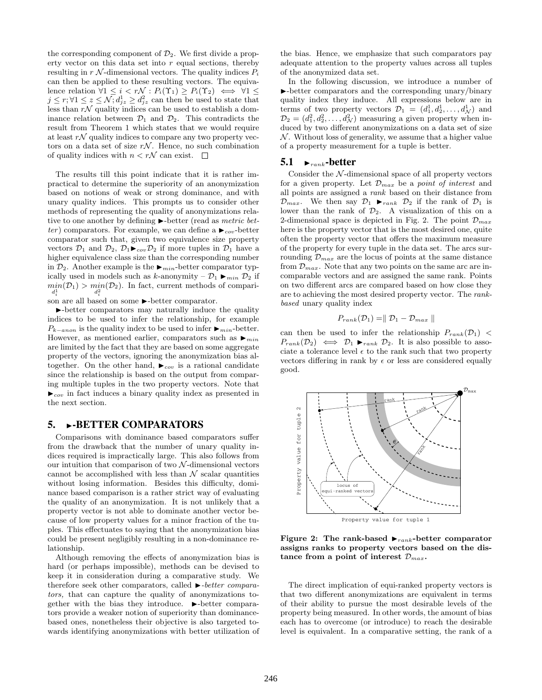the corresponding component of  $\mathcal{D}_2$ . We first divide a property vector on this data set into  $r$  equal sections, thereby resulting in r  $\mathcal N$ -dimensional vectors. The quality indices  $P_i$ can then be applied to these resulting vectors. The equivalence relation  $\forall 1 \leq i < r \mathcal{N} : P_i(\Upsilon_1) \geq P_i(\Upsilon_2) \iff \forall 1 \leq$  $j \leq r$ ;  $\forall 1 \leq z \leq \mathcal{N}$ ;  $d_{jz}^1 \geq d_{jz}^2$  can then be used to state that less than  $r\mathcal{N}$  quality indices can be used to establish a dominance relation between  $\mathcal{D}_1$  and  $\mathcal{D}_2$ . This contradicts the result from Theorem 1 which states that we would require at least  $r\mathcal{N}$  quality indices to compare any two property vectors on a data set of size  $r\mathcal{N}$ . Hence, no such combination of quality indices with  $n < r\mathcal{N}$  can exist.  $\square$ 

The results till this point indicate that it is rather impractical to determine the superiority of an anonymization based on notions of weak or strong dominance, and with unary quality indices. This prompts us to consider other methods of representing the quality of anonymizations relative to one another by defining  $\blacktriangleright$ -better (read as metric better) comparators. For example, we can define a  $\blacktriangleright_{cov}$ -better comparator such that, given two equivalence size property vectors  $\mathcal{D}_1$  and  $\mathcal{D}_2$ ,  $\mathcal{D}_1 \blacktriangleright_{cov} \mathcal{D}_2$  if more tuples in  $\mathcal{D}_1$  have a higher equivalence class size than the corresponding number in  $\mathcal{D}_2$ . Another example is the  $\blacktriangleright_{min}$ -better comparator typically used in models such as k-anonymity –  $\mathcal{D}_1 \blacktriangleright_{min} \mathcal{D}_2$  if  $\min_{d_i^1}(\mathcal{D}_1) > \min_{d_i^2}(\mathcal{D}_2)$ . In fact, current methods of compari $d_i^1$   $d_i^2$   $d_i^2$   $d_i^2$   $d_i$  some  $\blacktriangleright$ -better comparator.

I-better comparators may naturally induce the quality indices to be used to infer the relationship, for example  $P_{k-anon}$  is the quality index to be used to infer  $\blacktriangleright_{min}$ -better. However, as mentioned earlier, comparators such as  $\blacktriangleright_{min}$ are limited by the fact that they are based on some aggregate property of the vectors, ignoring the anonymization bias altogether. On the other hand,  $\blacktriangleright_{cov}$  is a rational candidate since the relationship is based on the output from comparing multiple tuples in the two property vectors. Note that  $\blacktriangleright_{cov}$  in fact induces a binary quality index as presented in the next section.

#### 5. **-BETTER COMPARATORS**

Comparisons with dominance based comparators suffer from the drawback that the number of unary quality indices required is impractically large. This also follows from our intuition that comparison of two  $N$ -dimensional vectors cannot be accomplished with less than  $N$  scalar quantities without losing information. Besides this difficulty, dominance based comparison is a rather strict way of evaluating the quality of an anonymization. It is not unlikely that a property vector is not able to dominate another vector because of low property values for a minor fraction of the tuples. This effectuates to saying that the anonymization bias could be present negligibly resulting in a non-dominance relationship.

Although removing the effects of anonymization bias is hard (or perhaps impossible), methods can be devised to keep it in consideration during a comparative study. We therefore seek other comparators, called  $\blacktriangleright$ -better comparators, that can capture the quality of anonymizations together with the bias they introduce.  $\blacktriangleright$ -better comparators provide a weaker notion of superiority than dominancebased ones, nonetheless their objective is also targeted towards identifying anonymizations with better utilization of the bias. Hence, we emphasize that such comparators pay adequate attention to the property values across all tuples of the anonymized data set.

In the following discussion, we introduce a number of I-better comparators and the corresponding unary/binary quality index they induce. All expressions below are in terms of two property vectors  $\mathcal{D}_1 = (d_1^1, d_2^1, \ldots, d_N^1)$  and  $\mathcal{D}_2 = (d_1^2, d_2^2, \dots, d_\mathcal{N}^2)$  measuring a given property when induced by two different anonymizations on a data set of size  $\mathcal N$ . Without loss of generality, we assume that a higher value of a property measurement for a tuple is better.

#### 5.1  $\rightarrow$ <sub>rank</sub>-better

Consider the  $N$ -dimensional space of all property vectors for a given property. Let  $\mathcal{D}_{max}$  be a *point of interest* and all points are assigned a rank based on their distance from  $\mathcal{D}_{max}$ . We then say  $\mathcal{D}_1$   $\blacktriangleright_{rank}$   $\mathcal{D}_2$  if the rank of  $\mathcal{D}_1$  is lower than the rank of  $\mathcal{D}_2$ . A visualization of this on a 2-dimensional space is depicted in Fig. 2. The point  $\mathcal{D}_{max}$ here is the property vector that is the most desired one, quite often the property vector that offers the maximum measure of the property for every tuple in the data set. The arcs surrounding  $\mathcal{D}_{max}$  are the locus of points at the same distance from  $\mathcal{D}_{max}$ . Note that any two points on the same arc are incomparable vectors and are assigned the same rank. Points on two different arcs are compared based on how close they are to achieving the most desired property vector. The rankbased unary quality index

$$
P_{rank}(\mathcal{D}_1) = || \mathcal{D}_1 - \mathcal{D}_{max} ||
$$

can then be used to infer the relationship  $P_{rank}(\mathcal{D}_1)$  $P_{rank}(\mathcal{D}_2) \iff \mathcal{D}_1 \blacktriangleright_{rank} \mathcal{D}_2$ . It is also possible to associate a tolerance level  $\epsilon$  to the rank such that two property vectors differing in rank by  $\epsilon$  or less are considered equally good.



Figure 2: The rank-based  $\blacktriangleright_{rank}$ -better comparator assigns ranks to property vectors based on the distance from a point of interest  $\mathcal{D}_{max}$ .

The direct implication of equi-ranked property vectors is that two different anonymizations are equivalent in terms of their ability to pursue the most desirable levels of the property being measured. In other words, the amount of bias each has to overcome (or introduce) to reach the desirable level is equivalent. In a comparative setting, the rank of a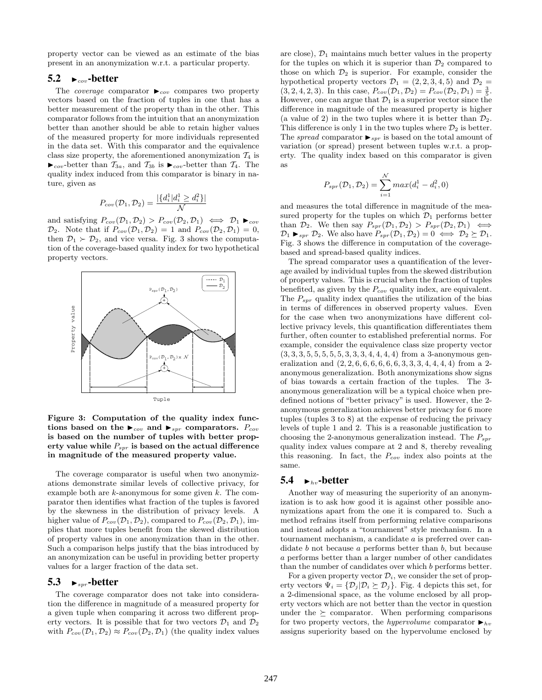property vector can be viewed as an estimate of the bias present in an anonymization w.r.t. a particular property.

#### 5.2  $\rightarrow$   $_{cov}$ -better

The *coverage* comparator  $\rightarrow_{cov}$  compares two property vectors based on the fraction of tuples in one that has a better measurement of the property than in the other. This comparator follows from the intuition that an anonymization better than another should be able to retain higher values of the measured property for more individuals represented in the data set. With this comparator and the equivalence class size property, the aforementioned anonymization  $\mathcal{T}_4$  is  $\blacktriangleright_{cov}$ -better than  $\mathcal{T}_{3a}$ , and  $\mathcal{T}_{3b}$  is  $\blacktriangleright_{cov}$ -better than  $\mathcal{T}_4$ . The quality index induced from this comparator is binary in nature, given as

$$
P_{cov}(\mathcal{D}_1, \mathcal{D}_2) = \frac{|\{d_i^1 | d_i^1 \ge d_i^2\}|}{\mathcal{N}}
$$

and satisfying  $P_{cov}(\mathcal{D}_1, \mathcal{D}_2) > P_{cov}(\mathcal{D}_2, \mathcal{D}_1) \iff \mathcal{D}_1 \blacktriangleright_{cov}$  $\mathcal{D}_2$ . Note that if  $P_{cov}(\mathcal{D}_1, \mathcal{D}_2) = 1$  and  $P_{cov}(\mathcal{D}_2, \mathcal{D}_1) = 0$ , then  $\mathcal{D}_1 \succ \mathcal{D}_2$ , and vice versa. Fig. 3 shows the computation of the coverage-based quality index for two hypothetical property vectors.



Figure 3: Computation of the quality index functions based on the  $\blacktriangleright_{cov}$  and  $\blacktriangleright_{spr}$  comparators.  $P_{cov}$ is based on the number of tuples with better property value while  $P_{spr}$  is based on the actual difference in magnitude of the measured property value.

The coverage comparator is useful when two anonymizations demonstrate similar levels of collective privacy, for example both are  $k$ -anonymous for some given  $k$ . The comparator then identifies what fraction of the tuples is favored by the skewness in the distribution of privacy levels. A higher value of  $P_{cov}(\mathcal{D}_1, \mathcal{D}_2)$ , compared to  $P_{cov}(\mathcal{D}_2, \mathcal{D}_1)$ , implies that more tuples benefit from the skewed distribution of property values in one anonymization than in the other. Such a comparison helps justify that the bias introduced by an anonymization can be useful in providing better property values for a larger fraction of the data set.

#### 5.3  $\rightarrow$  spr-better

The coverage comparator does not take into consideration the difference in magnitude of a measured property for a given tuple when comparing it across two different property vectors. It is possible that for two vectors  $\mathcal{D}_1$  and  $\mathcal{D}_2$ with  $P_{cov}(\mathcal{D}_1, \mathcal{D}_2) \approx P_{cov}(\mathcal{D}_2, \mathcal{D}_1)$  (the quality index values are close),  $\mathcal{D}_1$  maintains much better values in the property for the tuples on which it is superior than  $\mathcal{D}_2$  compared to those on which  $\mathcal{D}_2$  is superior. For example, consider the hypothetical property vectors  $\mathcal{D}_1 = (2, 2, 3, 4, 5)$  and  $\mathcal{D}_2 =$  $(3, 2, 4, 2, 3)$ . In this case,  $P_{cov}(\mathcal{D}_1, \mathcal{D}_2) = P_{cov}(\mathcal{D}_2, \mathcal{D}_1) = \frac{3}{5}$ . However, one can argue that  $\mathcal{D}_1$  is a superior vector since the difference in magnitude of the measured property is higher (a value of 2) in the two tuples where it is better than  $\mathcal{D}_2$ . This difference is only 1 in the two tuples where  $\mathcal{D}_2$  is better. The spread comparator  $\blacktriangleright_{spr}$  is based on the total amount of variation (or spread) present between tuples w.r.t. a property. The quality index based on this comparator is given as

$$
P_{spr}(\mathcal{D}_1, \mathcal{D}_2) = \sum_{i=1}^{N} max(d_i^1 - d_i^2, 0)
$$

and measures the total difference in magnitude of the measured property for the tuples on which  $\mathcal{D}_1$  performs better than  $\mathcal{D}_2$ . We then say  $P_{spr}(\mathcal{D}_1, \mathcal{D}_2) > P_{spr}(\mathcal{D}_2, \mathcal{D}_1) \iff$  $\mathcal{D}_1 \blacktriangleright_{spr} \mathcal{D}_2$ . We also have  $P_{spr}(\mathcal{D}_1, \mathcal{D}_2) = 0 \iff \mathcal{D}_2 \succeq \mathcal{D}_1$ . Fig. 3 shows the difference in computation of the coveragebased and spread-based quality indices.

The spread comparator uses a quantification of the leverage availed by individual tuples from the skewed distribution of property values. This is crucial when the fraction of tuples benefited, as given by the  $P_{cov}$  quality index, are equivalent. The  $P_{spr}$  quality index quantifies the utilization of the bias in terms of differences in observed property values. Even for the case when two anonymizations have different collective privacy levels, this quantification differentiates them further, often counter to established preferential norms. For example, consider the equivalence class size property vector  $(3, 3, 3, 5, 5, 5, 5, 5, 3, 3, 3, 4, 4, 4, 4)$  from a 3-anonymous generalization and  $(2, 2, 6, 6, 6, 6, 6, 6, 3, 3, 3, 4, 4, 4, 4)$  from a 2anonymous generalization. Both anonymizations show signs of bias towards a certain fraction of the tuples. The 3 anonymous generalization will be a typical choice when predefined notions of "better privacy" is used. However, the 2 anonymous generalization achieves better privacy for 6 more tuples (tuples 3 to 8) at the expense of reducing the privacy levels of tuple 1 and 2. This is a reasonable justification to choosing the 2-anonymous generalization instead. The  $P_{spr}$ quality index values compare at 2 and 8, thereby revealing this reasoning. In fact, the  $P_{cov}$  index also points at the same.

#### 5.4  $\rightarrow_{hv}$ -better

Another way of measuring the superiority of an anonymization is to ask how good it is against other possible anonymizations apart from the one it is compared to. Such a method refrains itself from performing relative comparisons and instead adopts a "tournament" style mechanism. In a tournament mechanism, a candidate a is preferred over candidate  $b$  not because  $a$  performs better than  $b$ , but because a performs better than a larger number of other candidates than the number of candidates over which b performs better.

For a given property vector  $\mathcal{D}_i$ , we consider the set of property vectors  $\Psi_i = {\mathcal{D}_i | \mathcal{D}_i \succeq \mathcal{D}_i}.$  Fig. 4 depicts this set, for a 2-dimensional space, as the volume enclosed by all property vectors which are not better than the vector in question under the  $\succeq$  comparator. When performing comparisons for two property vectors, the *hypervolume* comparator  $\blacktriangleright_{hv}$ assigns superiority based on the hypervolume enclosed by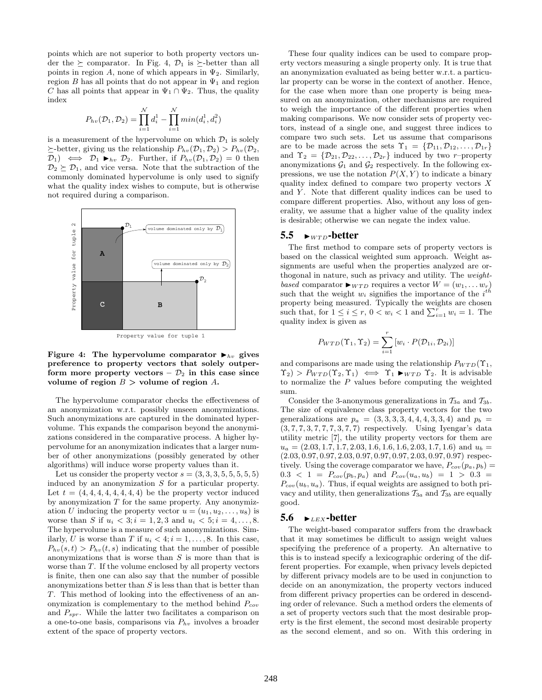points which are not superior to both property vectors under the  $\succeq$  comparator. In Fig. 4,  $\mathcal{D}_1$  is  $\succeq$ -better than all points in region A, none of which appears in  $\Psi_2$ . Similarly, region B has all points that do not appear in  $\Psi_1$  and region C has all points that appear in  $\Psi_1 \cap \Psi_2$ . Thus, the quality index

$$
P_{hv}(\mathcal{D}_1, \mathcal{D}_2) = \prod_{i=1}^N d_i^1 - \prod_{i=1}^N min(d_i^1, d_i^2)
$$

is a measurement of the hypervolume on which  $\mathcal{D}_1$  is solely  $\succeq$ -better, giving us the relationship  $P_{hv}(\mathcal{D}_1, \mathcal{D}_2) > P_{hv}(\mathcal{D}_2,$  $(\mathcal{D}_1) \iff \mathcal{D}_1 \blacktriangleright_{hv} \mathcal{D}_2$ . Further, if  $P_{hv}(\mathcal{D}_1, \mathcal{D}_2) = 0$  then  $\mathcal{D}_2 \succeq \mathcal{D}_1$ , and vice versa. Note that the subtraction of the commonly dominated hypervolume is only used to signify what the quality index wishes to compute, but is otherwise not required during a comparison.



Figure 4: The hypervolume comparator  $\blacktriangleright_{hv}$  gives preference to property vectors that solely outperform more property vectors –  $\mathcal{D}_2$  in this case since volume of region  $B >$  volume of region A.

The hypervolume comparator checks the effectiveness of an anonymization w.r.t. possibly unseen anonymizations. Such anonymizations are captured in the dominated hypervolume. This expands the comparison beyond the anonymizations considered in the comparative process. A higher hypervolume for an anonymization indicates that a larger number of other anonymizations (possibly generated by other algorithms) will induce worse property values than it.

Let us consider the property vector  $s = (3, 3, 3, 5, 5, 5, 5, 5)$ induced by an anonymization S for a particular property. Let  $t = (4, 4, 4, 4, 4, 4, 4, 4)$  be the property vector induced by anonymization  $T$  for the same property. Any anonymization U inducing the property vector  $u = (u_1, u_2, \dots, u_8)$  is worse than S if  $u_i < 3; i = 1, 2, 3$  and  $u_i < 5; i = 4, ..., 8$ . The hypervolume is a measure of such anonymizations. Similarly, U is worse than T if  $u_i < 4$ ;  $i = 1, \ldots, 8$ . In this case,  $P_{hv}(s,t) > P_{hv}(t,s)$  indicating that the number of possible anonymizations that is worse than  $S$  is more than that is worse than T. If the volume enclosed by all property vectors is finite, then one can also say that the number of possible anonymizations better than  $S$  is less than that is better than T. This method of looking into the effectiveness of an anonymization is complementary to the method behind  $P_{cov}$ and  $P_{spr}$ . While the latter two facilitates a comparison on a one-to-one basis, comparisons via  $P_{hv}$  involves a broader extent of the space of property vectors.

These four quality indices can be used to compare property vectors measuring a single property only. It is true that an anonymization evaluated as being better w.r.t. a particular property can be worse in the context of another. Hence, for the case when more than one property is being measured on an anonymization, other mechanisms are required to weigh the importance of the different properties when making comparisons. We now consider sets of property vectors, instead of a single one, and suggest three indices to compare two such sets. Let us assume that comparisons are to be made across the sets  $\Upsilon_1 = {\mathcal{D}_{11}, \mathcal{D}_{12}, \ldots, \mathcal{D}_{1r}}$ and  $\Upsilon_2 = \{ \mathcal{D}_{21}, \mathcal{D}_{22}, \ldots, \mathcal{D}_{2r} \}$  induced by two r-property anonymizations  $\mathcal{G}_1$  and  $\mathcal{G}_2$  respectively. In the following expressions, we use the notation  $P(X, Y)$  to indicate a binary quality index defined to compare two property vectors  $X$ and  $Y$ . Note that different quality indices can be used to compare different properties. Also, without any loss of generality, we assume that a higher value of the quality index is desirable; otherwise we can negate the index value.

#### 5.5  $\blacktriangleright$ <sub>WTD</sub>-better

The first method to compare sets of property vectors is based on the classical weighted sum approach. Weight assignments are useful when the properties analyzed are orthogonal in nature, such as privacy and utility. The weightbased comparator  $\blacktriangleright_{WTD}$  requires a vector  $W = (w_1, \ldots w_r)$ such that the weight  $w_i$  signifies the importance of the  $i^{th}$ property being measured. Typically the weights are chosen such that, for  $1 \leq i \leq r$ ,  $0 < w_i < 1$  and  $\sum_{i=1}^{r} w_i = 1$ . The quality index is given as

$$
P_{WTD}(\Upsilon_1, \Upsilon_2) = \sum_{i=1}^r [w_i \cdot P(\mathcal{D}_{1i}, \mathcal{D}_{2i})]
$$

and comparisons are made using the relationship  $P_{WTD}(\Upsilon_1,$  $\Upsilon_2$ ) >  $P_{WTD}(\Upsilon_2, \Upsilon_1) \iff \Upsilon_1 \blacktriangleright_{WTD} \Upsilon_2$ . It is advisable to normalize the  $P$  values before computing the weighted sum.

Consider the 3-anonymous generalizations in  $\mathcal{T}_{3a}$  and  $\mathcal{T}_{3b}$ . The size of equivalence class property vectors for the two generalizations are  $p_a = (3, 3, 3, 3, 4, 4, 4, 3, 3, 4)$  and  $p_b =$  $(3, 7, 7, 7, 7, 7, 7, 7, 7, 7)$  respectively. Using Iyengar's data utility metric [7], the utility property vectors for them are  $u_a = (2.03, 1.7, 1.7, 2.03, 1.6, 1.6, 1.6, 2.03, 1.7, 1.6)$  and  $u_b =$  $(2.03, 0.97, 0.97, 2.03, 0.97, 0.97, 0.97, 2.03, 0.97, 0.97)$  respectively. Using the coverage comparator we have,  $P_{cov}(p_a, p_b)$  =  $0.3 < 1 = P_{cov}(p_b, p_a)$  and  $P_{cov}(u_a, u_b) = 1 > 0.3$  $P_{cov}(u_b, u_a)$ . Thus, if equal weights are assigned to both privacy and utility, then generalizations  $\mathcal{T}_{3a}$  and  $\mathcal{T}_{3b}$  are equally good.

#### 5.6  $\blacktriangleright$   $\blacktriangleright$   $\blacktriangleright$   $\blacktriangleright$   $\blacktriangleright$   $\blacktriangleright$   $\blacktriangleright$   $\blacktriangleright$   $\blacktriangleright$   $\blacktriangleright$   $\blacktriangleright$   $\blacktriangleright$   $\blacktriangleright$   $\blacktriangleright$   $\blacktriangleright$   $\blacktriangleright$   $\blacktriangleright$   $\blacktriangleright$   $\blacktriangleright$   $\blacktriangleright$   $\blacktriangleright$   $\blacktriangleright$   $\blacktriangleright$   $\blacktriangleright$   $\blacktriangleright$   $\blacktriangleright$   $\blacktriangleright$

The weight-based comparator suffers from the drawback that it may sometimes be difficult to assign weight values specifying the preference of a property. An alternative to this is to instead specify a lexicographic ordering of the different properties. For example, when privacy levels depicted by different privacy models are to be used in conjunction to decide on an anonymization, the property vectors induced from different privacy properties can be ordered in descending order of relevance. Such a method orders the elements of a set of property vectors such that the most desirable property is the first element, the second most desirable property as the second element, and so on. With this ordering in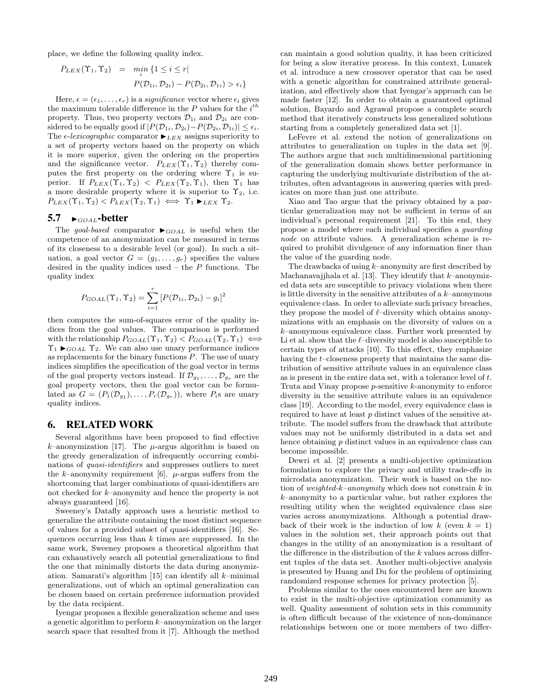place, we define the following quality index.

$$
P_{LEX}(\Upsilon_1, \Upsilon_2) = \min_i \{1 \le i \le r \mid
$$
  

$$
P(\mathcal{D}_{1i}, \mathcal{D}_{2i}) - P(\mathcal{D}_{2i}, \mathcal{D}_{1i}) > \epsilon_i \}
$$

Here,  $\epsilon = (\epsilon_1, \ldots, \epsilon_r)$  is a *significance* vector where  $\epsilon_i$  gives the maximum tolerable difference in the  $P$  values for the  $i^{th}$ property. Thus, two property vectors  $\mathcal{D}_{1i}$  and  $\mathcal{D}_{2i}$  are considered to be equally good if  $|P(\mathcal{D}_{1i}, \mathcal{D}_{2i})-P(\mathcal{D}_{2i}, \mathcal{D}_{1i})| \leq \epsilon_i$ . The  $\epsilon$ -lexicographic comparator  $\blacktriangleright$ <sub>LEX</sub> assigns superiority to a set of property vectors based on the property on which it is more superior, given the ordering on the properties and the significance vector.  $P_{LEX}(\Upsilon_1, \Upsilon_2)$  thereby computes the first property on the ordering where  $\Upsilon_1$  is superior. If  $P_{LEX}(\Upsilon_1, \Upsilon_2) < P_{LEX}(\Upsilon_2, \Upsilon_1)$ , then  $\Upsilon_1$  has a more desirable property where it is superior to  $\Upsilon_2$ , i.e.  $P_{LEX}(\Upsilon_1, \Upsilon_2) < P_{LEX}(\Upsilon_2, \Upsilon_1) \iff \Upsilon_1 \blacktriangleright_{LEX} \Upsilon_2.$ 

## 5.7  $\rightarrow$  GOAL-better

The goal-based comparator  $\blacktriangleright_{GOAL}$  is useful when the competence of an anonymization can be measured in terms of its closeness to a desirable level (or goal). In such a situation, a goal vector  $G = (g_1, \ldots, g_r)$  specifies the values desired in the quality indices used – the  $P$  functions. The quality index

$$
P_{GOAL}(\Upsilon_1, \Upsilon_2) = \sum_{i=1}^r [P(\mathcal{D}_{1i}, \mathcal{D}_{2i}) - g_i]^2
$$

then computes the sum-of-squares error of the quality indices from the goal values. The comparison is performed with the relationship  $P_{GOAL}(\Upsilon_1, \Upsilon_2) < P_{GOAL}(\Upsilon_2, \Upsilon_1) \iff$  $\Upsilon_1 \blacktriangleright_{GOAL} \Upsilon_2$ . We can also use unary performance indices as replacements for the binary functions  $P$ . The use of unary indices simplifies the specification of the goal vector in terms of the goal property vectors instead. If  $\mathcal{D}_{g_1}, \ldots, \mathcal{D}_{g_r}$  are the goal property vectors, then the goal vector can be formulated as  $G = (P_1(\mathcal{D}_{g_1}), \ldots, P_r(\mathcal{D}_{g_r}))$ , where  $P_i$ s are unary quality indices.

#### 6. RELATED WORK

Several algorithms have been proposed to find effective k–anonymization [17]. The  $\mu$ -argus algorithm is based on the greedy generalization of infrequently occurring combinations of quasi-identifiers and suppresses outliers to meet the k–anonymity requirement [6].  $\mu$ -argus suffers from the shortcoming that larger combinations of quasi-identifiers are not checked for k–anonymity and hence the property is not always guaranteed [16].

Sweeney's Datafly approach uses a heuristic method to generalize the attribute containing the most distinct sequence of values for a provided subset of quasi-identifiers [16]. Sequences occurring less than  $k$  times are suppressed. In the same work, Sweeney proposes a theoretical algorithm that can exhaustively search all potential generalizations to find the one that minimally distorts the data during anonymization. Samarati's algorithm [15] can identify all k–minimal generalizations, out of which an optimal generalization can be chosen based on certain preference information provided by the data recipient.

Iyengar proposes a flexible generalization scheme and uses a genetic algorithm to perform k–anonymization on the larger search space that resulted from it [7]. Although the method

can maintain a good solution quality, it has been criticized for being a slow iterative process. In this context, Lunacek et al. introduce a new crossover operator that can be used with a genetic algorithm for constrained attribute generalization, and effectively show that Iyengar's approach can be made faster [12]. In order to obtain a guaranteed optimal solution, Bayardo and Agrawal propose a complete search method that iteratively constructs less generalized solutions starting from a completely generalized data set [1].

LeFevre et al. extend the notion of generalizations on attributes to generalization on tuples in the data set [9]. The authors argue that such multidimensional partitioning of the generalization domain shows better performance in capturing the underlying multivariate distribution of the attributes, often advantageous in answering queries with predicates on more than just one attribute.

Xiao and Tao argue that the privacy obtained by a particular generalization may not be sufficient in terms of an individual's personal requirement [21]. To this end, they propose a model where each individual specifies a guarding node on attribute values. A generalization scheme is required to prohibit divulgence of any information finer than the value of the guarding node.

The drawbacks of using  $k$ –anonymity are first described by Machanavajjhala et al. [13]. They identify that  $k$ -anonymized data sets are susceptible to privacy violations when there is little diversity in the sensitive attributes of a  $k$ –anonymous equivalence class. In order to alleviate such privacy breaches, they propose the model of  $\ell$ –diversity which obtains anonymizations with an emphasis on the diversity of values on a  $k$ –anonymous equivalence class. Further work presented by Li et al. show that the  $\ell$ –diversity model is also susceptible to certain types of attacks [10]. To this effect, they emphasize having the t–closeness property that maintains the same distribution of sensitive attribute values in an equivalence class as is present in the entire data set, with a tolerance level of t. Truta and Vinay propose p-sensitive k-anonymity to enforce diversity in the sensitive attribute values in an equivalence class [19]. According to the model, every equivalence class is required to have at least p distinct values of the sensitive attribute. The model suffers from the drawback that attribute values may not be uniformly distributed in a data set and hence obtaining  $p$  distinct values in an equivalence class can become impossible.

Dewri et al. [2] presents a multi-objective optimization formulation to explore the privacy and utility trade-offs in microdata anonymization. Their work is based on the notion of weighted-k-anonymity which does not constrain  $k$  in  $k$ –anonymity to a particular value, but rather explores the resulting utility when the weighted equivalence class size varies across anonymizations. Although a potential drawback of their work is the induction of low k (even  $k = 1$ ) values in the solution set, their approach points out that changes in the utility of an anonymization is a resultant of the difference in the distribution of the  $k$  values across different tuples of the data set. Another multi-objective analysis is presented by Huang and Du for the problem of optimizing randomized response schemes for privacy protection [5].

Problems similar to the ones encountered here are known to exist in the multi-objective optimization community as well. Quality assessment of solution sets in this community is often difficult because of the existence of non-dominance relationships between one or more members of two differ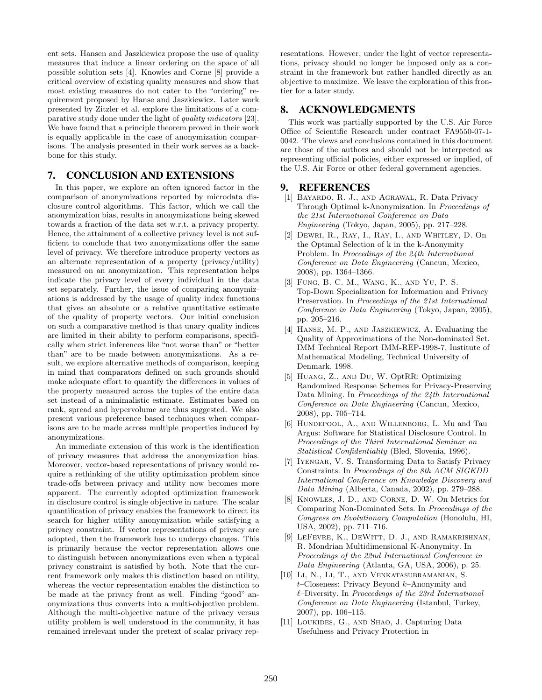ent sets. Hansen and Jaszkiewicz propose the use of quality measures that induce a linear ordering on the space of all possible solution sets [4]. Knowles and Corne [8] provide a critical overview of existing quality measures and show that most existing measures do not cater to the "ordering" requirement proposed by Hanse and Jaszkiewicz. Later work presented by Zitzler et al. explore the limitations of a comparative study done under the light of quality indicators [23]. We have found that a principle theorem proved in their work is equally applicable in the case of anonymization comparisons. The analysis presented in their work serves as a backbone for this study.

# 7. CONCLUSION AND EXTENSIONS

In this paper, we explore an often ignored factor in the comparison of anonymizations reported by microdata disclosure control algorithms. This factor, which we call the anonymization bias, results in anonymizations being skewed towards a fraction of the data set w.r.t. a privacy property. Hence, the attainment of a collective privacy level is not sufficient to conclude that two anonymizations offer the same level of privacy. We therefore introduce property vectors as an alternate representation of a property (privacy/utility) measured on an anonymization. This representation helps indicate the privacy level of every individual in the data set separately. Further, the issue of comparing anonymizations is addressed by the usage of quality index functions that gives an absolute or a relative quantitative estimate of the quality of property vectors. Our initial conclusion on such a comparative method is that unary quality indices are limited in their ability to perform comparisons, specifically when strict inferences like "not worse than" or "better than" are to be made between anonymizations. As a result, we explore alternative methods of comparison, keeping in mind that comparators defined on such grounds should make adequate effort to quantify the differences in values of the property measured across the tuples of the entire data set instead of a minimalistic estimate. Estimates based on rank, spread and hypervolume are thus suggested. We also present various preference based techniques when comparisons are to be made across multiple properties induced by anonymizations.

An immediate extension of this work is the identification of privacy measures that address the anonymization bias. Moreover, vector-based representations of privacy would require a rethinking of the utility optimization problem since trade-offs between privacy and utility now becomes more apparent. The currently adopted optimization framework in disclosure control is single objective in nature. The scalar quantification of privacy enables the framework to direct its search for higher utility anonymization while satisfying a privacy constraint. If vector representations of privacy are adopted, then the framework has to undergo changes. This is primarily because the vector representation allows one to distinguish between anonymizations even when a typical privacy constraint is satisfied by both. Note that the current framework only makes this distinction based on utility, whereas the vector representation enables the distinction to be made at the privacy front as well. Finding "good" anonymizations thus converts into a multi-objective problem. Although the multi-objective nature of the privacy versus utility problem is well understood in the community, it has remained irrelevant under the pretext of scalar privacy representations. However, under the light of vector representations, privacy should no longer be imposed only as a constraint in the framework but rather handled directly as an objective to maximize. We leave the exploration of this frontier for a later study.

## 8. ACKNOWLEDGMENTS

This work was partially supported by the U.S. Air Force Office of Scientific Research under contract FA9550-07-1- 0042. The views and conclusions contained in this document are those of the authors and should not be interpreted as representing official policies, either expressed or implied, of the U.S. Air Force or other federal government agencies.

## 9. REFERENCES

- [1] Bayardo, R. J., and Agrawal, R. Data Privacy Through Optimal k-Anonymization. In Proceedings of the 21st International Conference on Data Engineering (Tokyo, Japan, 2005), pp. 217–228.
- [2] Dewri, R., Ray, I., Ray, I., and Whitley, D. On the Optimal Selection of k in the k-Anonymity Problem. In Proceedings of the 24th International Conference on Data Engineering (Cancun, Mexico, 2008), pp. 1364–1366.
- [3] Fung, B. C. M., Wang, K., and Yu, P. S. Top-Down Specialization for Information and Privacy Preservation. In Proceedings of the 21st International Conference in Data Engineering (Tokyo, Japan, 2005), pp. 205–216.
- [4] Hanse, M. P., and Jaszkiewicz, A. Evaluating the Quality of Approximations of the Non-dominated Set. IMM Technical Report IMM-REP-1998-7, Institute of Mathematical Modeling, Technical University of Denmark, 1998.
- [5] Huang, Z., and Du, W. OptRR: Optimizing Randomized Response Schemes for Privacy-Preserving Data Mining. In Proceedings of the 24th International Conference on Data Engineering (Cancun, Mexico, 2008), pp. 705–714.
- [6] Hundepool, A., and Willenborg, L. Mu and Tau Argus: Software for Statistical Disclosure Control. In Proceedings of the Third International Seminar on Statistical Confidentiality (Bled, Slovenia, 1996).
- [7] IYENGAR, V. S. Transforming Data to Satisfy Privacy Constraints. In Proceedings of the 8th ACM SIGKDD International Conference on Knowledge Discovery and Data Mining (Alberta, Canada, 2002), pp. 279–288.
- [8] Knowles, J. D., and Corne, D. W. On Metrics for Comparing Non-Dominated Sets. In Proceedings of the Congress on Evolutionary Computation (Honolulu, HI, USA, 2002), pp. 711–716.
- [9] LEFEVRE, K., DEWITT, D. J., AND RAMAKRISHNAN, R. Mondrian Multidimensional K-Anonymity. In Proceedings of the 22nd International Conference in Data Engineering (Atlanta, GA, USA, 2006), p. 25.
- [10] Li, N., Li, T., and Venkatasubramanian, S.  $t$ –Closeness: Privacy Beyond  $k$ –Anonymity and  $\ell$ –Diversity. In Proceedings of the 23rd International Conference on Data Engineering (Istanbul, Turkey, 2007), pp. 106–115.
- [11] LOUKIDES, G., AND SHAO, J. Capturing Data Usefulness and Privacy Protection in